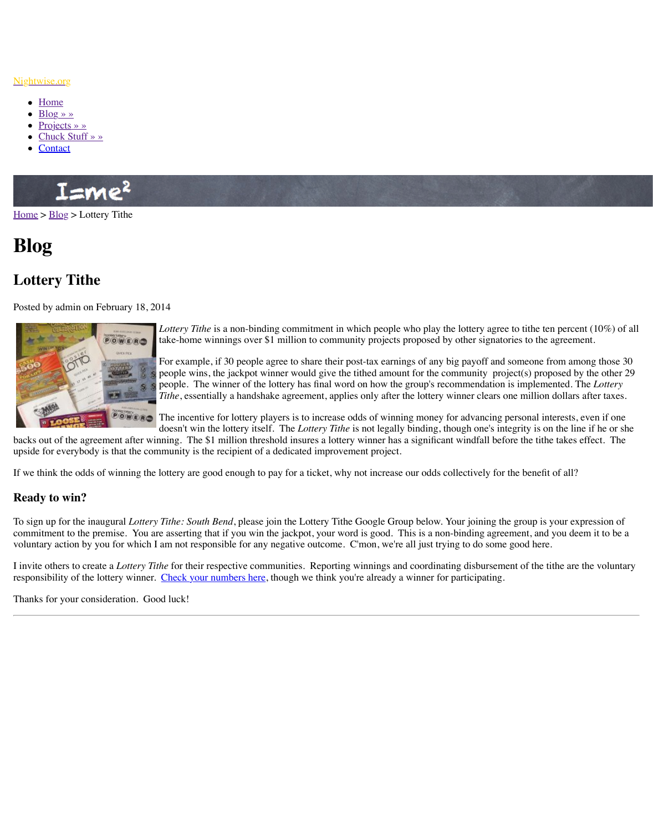

*Lottery Time* is a non-omding commitment in which peo take-home winnings over \$1 million to community projection-

For example, if 30 people agree to share their post-tax early people wins, the jackpot winner would give the tithed an people. The winner of the lottery has final word on how *Tithe*, essentially a handshake agreement, applies only af

The incentive for lottery players is to increase odds of w doesn't win the lottery itself. The *Lottery Tithe* is not leg

backs [out of the](http://www.nightwise.org/blog/) agreement after winning. The \$1 million threshold insures a lottery winner upsid[e for everybo](http://www.nightwise.org/projects/)dy is that the community is the recipient of a dedicated improvement proj

If we [think th](http://www.nightwise.org/contact/)[e odds of](http://www.nightwise.org/chuck-stuff/) winning the lottery are good enough to pay for a ticket, why not increase our odds of winning the lottery are good enough to pay for a ticket, why not increase

## **Ready to win?**

To sign up for the inaugural *Lottery Tithe: South Bend*, please join the Lottery Tithe Google commitment to the premise. You are asserting that if you win the jackpot, your word is good. [volunt](http://www.nightwise.org/)ar[y acti](http://www.nightwise.org/blog/)on by you for which I am not responsible for any negative outcome. C'mon, w

I invite others to create a *Lottery Tithe* for their respective communities. Reporting winnings responsibility of the lottery winner. Check your numbers here, though we think you're already

Thanks for your consideration. Good luck!